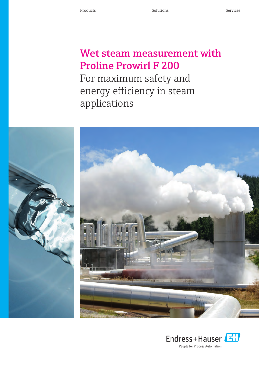## Wet steam measurement with Proline Prowirl F 200 For maximum safety and energy efficiency in steam applications



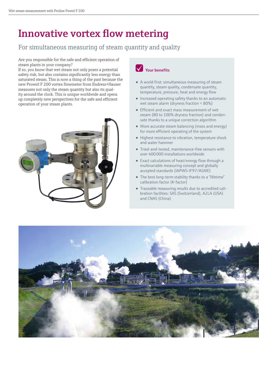## Innovative vortex flow metering

### For simultaneous measuring of steam quantity and quality

Are you responsible for the safe and efficient operation of steam plants in your company?

If so, you know that wet steam not only poses a potential safety risk, but also contains significantly less energy than saturated steam. This is now a thing of the past because the new Prowirl F 200 vortex flowmeter from Endress+Hauser measures not only the steam quantity but also its quality around the clock. This is unique worldwide and opens up completely new perspectives for the safe and efficient operation of your steam plants.





- A world first: simultaneous measuring of steam quantity, steam quality, condensate quantity, temperature, pressure, heat and energy flow
- Increased operating safety thanks to an automatic wet steam alarm (dryness fraction < 80%)
- Efficient and exact mass measurement of wet steam (80 to 100% dryness fraction) and condensate thanks to a unique correction algorithm
- More accurate steam balancing (mass and energy) for more efficient operating of the system
- Highest resistance to vibration, temperature shock and water hammer
- Tried-and-tested, maintenance-free sensors with over 400 000 installations worldwide
- Exact calculations of heat/energy flow through a multivariable measuring concept and globally accepted standards (IAPWS-IF97/ASME)
- The best long-term stability thanks to a "lifetime" calibration factor (K-factor)
- Traceable measuring results due to accredited calibration facilities: SAS (Switzerland), A2LA (USA) and CNAS (China)

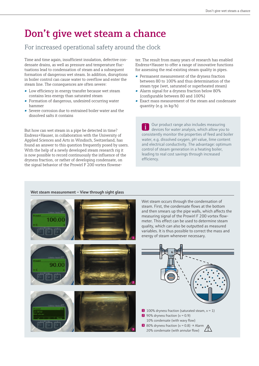## Don't give wet steam a chance

### For increased operational safety around the clock

Time and time again, insufficient insulation, defective condensate drains, as well as pressure and temperature fluctuations lead to condensation of steam and a subsequent formation of dangerous wet steam. In addition, disruptions in boiler control can cause water to overflow and enter the steam line. The consequences are often severe:

- Low efficiency in energy transfer because wet steam contains less energy than saturated steam
- Formation of dangerous, undesired occurring water hammer
- Severe corrosion due to entrained boiler water and the dissolved salts it contains

But how can wet steam in a pipe be detected in time? Endress+Hauser, in collaboration with the University of Applied Sciences and Arts in Windisch, Switzerland, has found an answer to this question frequently posed by users. With the help of a newly developed steam research rig it is now possible to record continuously the influence of the dryness fraction, or rather of developing condensate, on the signal behavior of the Prowirl F 200 vortex flowmeter. The result from many years of research has enabled Endress+Hauser to offer a range of innovative functions for assessing the real existing steam quality in pipes.

- Permanent measurement of the dryness fraction between 80 to 100% and thus determination of the steam type (wet, saturated or superheated steam)
- Alarm signal for a dryness fraction below 80% (configurable between 80 and 100%)
- Exact mass measurement of the steam and condensate quantity (e.g. in kg/h)

Our product range also includes measuring devices for water analysis, which allow you to consistently monitor the properties of feed and boiler water, e.g. dissolved oxygen, pH value, lime content and electrical conductivity. The advantage: optimum control of steam generation in a heating boiler, leading to real cost savings through increased efficiency.

#### Wet steam measurement – View through sight glass